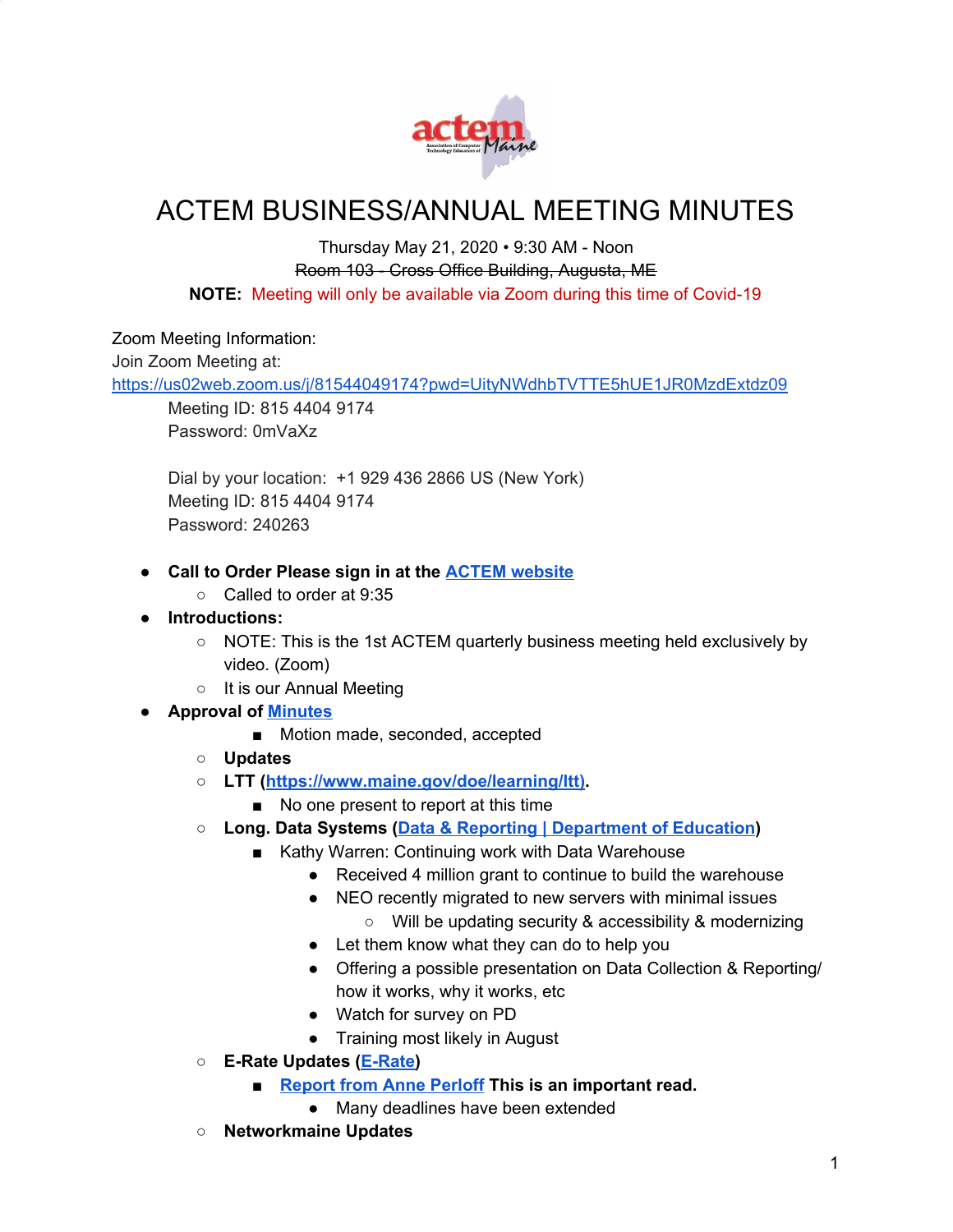

# ACTEM BUSINESS/ANNUAL MEETING MINUTES

#### Thursday May 21, 2020 • 9:30 AM - Noon Room 103 - Cross Office Building, Augusta, ME **NOTE:** Meeting will only be available via Zoom during this time of Covid-19

#### Zoom Meeting Information:

Join Zoom Meeting at:

<https://us02web.zoom.us/j/81544049174?pwd=UityNWdhbTVTTE5hUE1JR0MzdExtdz09>

Meeting ID: 815 4404 9174 Password: 0mVaXz

Dial by your location: +1 929 436 2866 US (New York) Meeting ID: 815 4404 9174 Password: 240263

- **● Call to Order Please sign in at the ACTEM [website](https://docs.google.com/forms/d/e/1FAIpQLSeYQyg9SyUVDdkvJ7SBDoo4DEfrKK1Y_w7DH7GUFsu16T-OvA/viewform?fbzx=-352363821844841307)**
	- Called to order at 9:35
- **● Introductions:**
	- NOTE: This is the 1st ACTEM quarterly business meeting held exclusively by video. (Zoom)
	- It is our Annual Meeting

### **● Approval of [Minutes](https://docs.google.com/document/d/1At_JGBhu0LHeGpk9LxzO-4-hg3DYcJaEk45p2nPnnsM/edit)**

- Motion made, seconded, accepted
- **○ Updates**
- **○ LTT ([https://www.maine.gov/doe/learning/ltt\)](https://www.maine.gov/doe/learning/ltt)).**
	- No one present to report at this time
- **○ Long. Data Systems (Data & Reporting | [Department](https://www.maine.gov/doe/data-reporting) of Education)**
	- Kathy Warren: Continuing work with Data Warehouse
		- Received 4 million grant to continue to build the warehouse
		- NEO recently migrated to new servers with minimal issues ○ Will be updating security & accessibility & modernizing
		- Let them know what they can do to help you
		- Offering a possible presentation on Data Collection & Reporting/ how it works, why it works, etc
		- Watch for survey on PD
		- Training most likely in August
- **○ E-Rate Updates ([E-Rate\)](http://erate.networkmaine.net/)**
	- **■ [Report](https://docs.google.com/document/d/1Gb0Pw8e-KKg_DI24Plb5xIvRmmiqwjfJvrAbpYpmzA8/edit?usp=sharing) from Anne Perloff This is an important read.**
		- Many deadlines have been extended
- **○ Networkmaine Updates**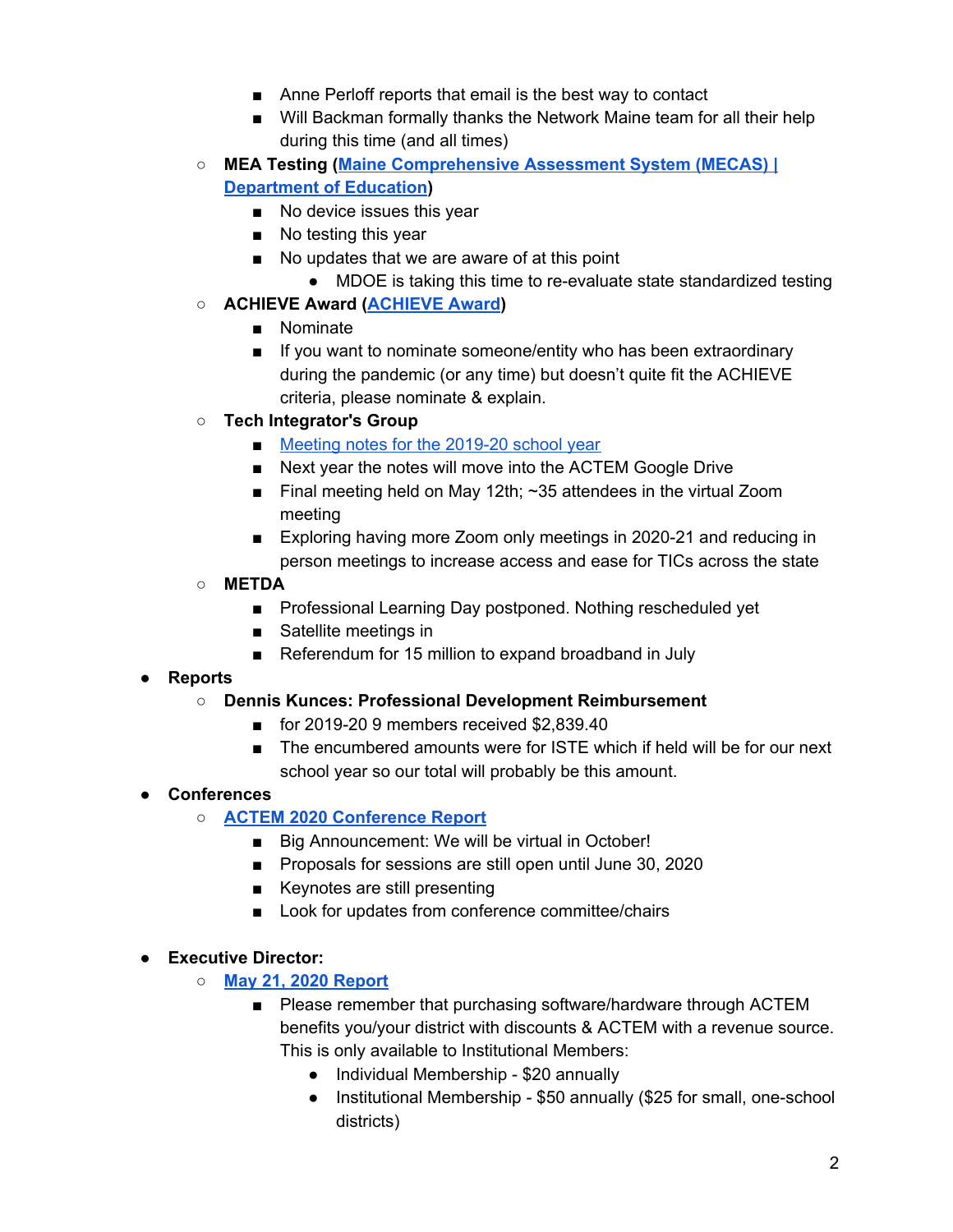- Anne Perloff reports that email is the best way to contact
- Will Backman formally thanks the Network Maine team for all their help during this time (and all times)
- **○ MEA Testing (Maine [Comprehensive](https://www.maine.gov/doe/Testing_Accountability/MECAS) Assessment System (MECAS) | [Department](https://www.maine.gov/doe/Testing_Accountability/MECAS) of Education)**
	- No device issues this year
	- No testing this year
	- No updates that we are aware of at this point
		- MDOE is taking this time to re-evaluate state standardized testing
- **○ ACHIEVE Award [\(ACHIEVE](http://www.actem.org/AchieveAward) Award)**
	- Nominate
	- If you want to nominate someone/entity who has been extraordinary during the pandemic (or any time) but doesn't quite fit the ACHIEVE criteria, please nominate & explain.
- **○ Tech Integrator's Group**
	- Meeting notes for the [2019-20](https://docs.google.com/document/d/1u4IdWKA-GTZww2zwB1HgxLUEf4gM9K7p0LeIMZChbWk/edit) school year
	- Next year the notes will move into the ACTEM Google Drive
	- Final meeting held on May 12th;  $\sim$ 35 attendees in the virtual Zoom meeting
	- Exploring having more Zoom only meetings in 2020-21 and reducing in person meetings to increase access and ease for TICs across the state
- **○ METDA**
	- Professional Learning Day postponed. Nothing rescheduled yet
	- Satellite meetings in
	- Referendum for 15 million to expand broadband in July

# **● Reports**

### **○ Dennis Kunces: Professional Development Reimbursement**

- for 2019-20 9 members received \$2,839,40
- The encumbered amounts were for ISTE which if held will be for our next school year so our total will probably be this amount.

# **● Conferences**

- **○ ACTEM 2020 [Conference](http://www.actem.org/resources/Documents/ACTEM%202020%20ConferenceReport-05-21-20.pdf) Report**
	- Big Announcement: We will be virtual in October!
	- Proposals for sessions are still open until June 30, 2020
	- Keynotes are still presenting
	- Look for updates from conference committee/chairs

### **● Executive Director:**

- **○ May 21, 2020 [Report](https://docs.google.com/document/d/1oYUKED03Wmder-iZXgVvV8vQ49dBW8HpXDenxKSGLWk/edit?usp=sharing)**
	- Please remember that purchasing software/hardware through ACTEM benefits you/your district with discounts & ACTEM with a revenue source. This is only available to Institutional Members:
		- Individual Membership \$20 annually
		- Institutional Membership \$50 annually (\$25 for small, one-school districts)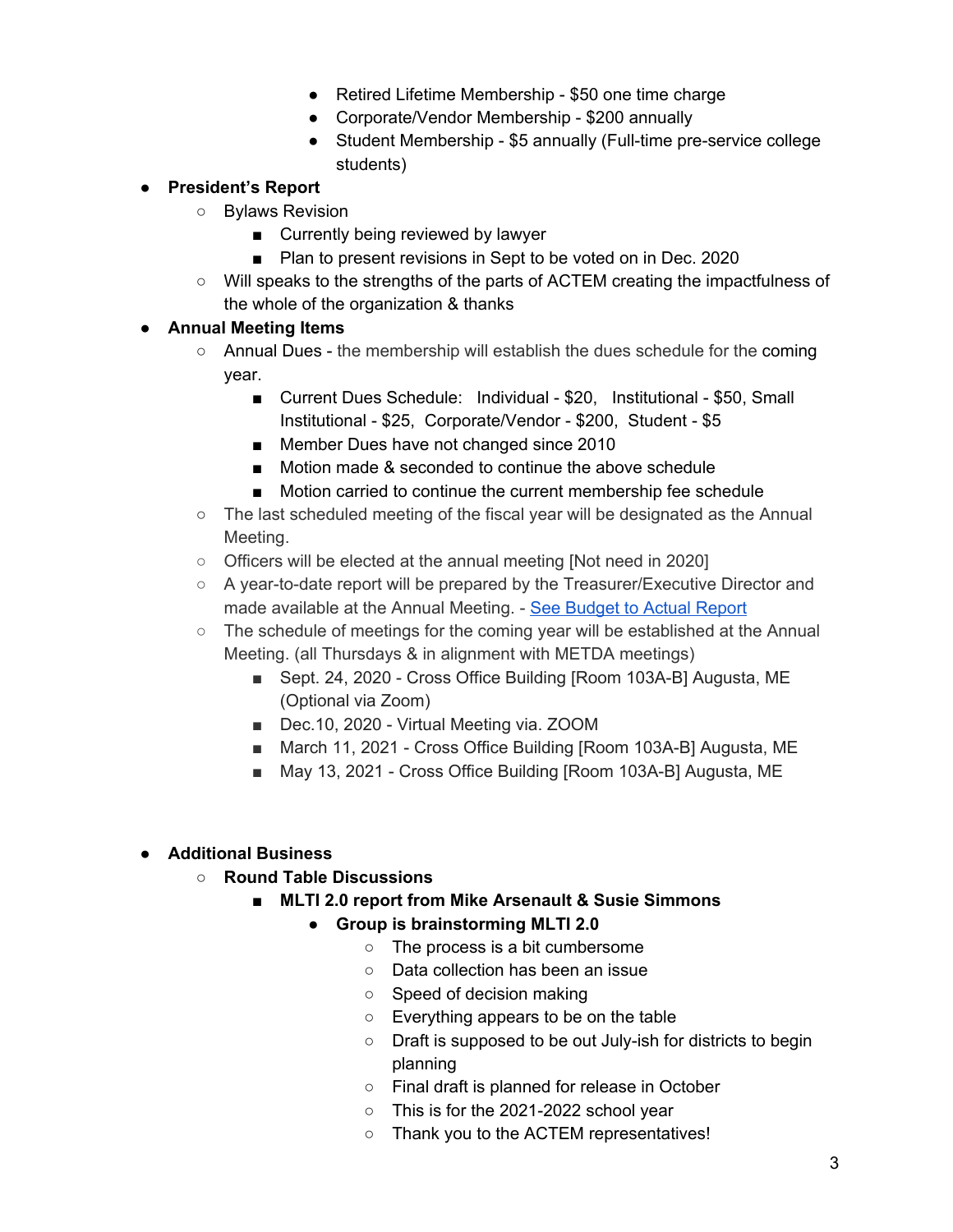- Retired Lifetime Membership \$50 one time charge
- Corporate/Vendor Membership \$200 annually
- Student Membership \$5 annually (Full-time pre-service college students)

## **● President's Report**

- Bylaws Revision
	- Currently being reviewed by lawyer
	- Plan to present revisions in Sept to be voted on in Dec. 2020
- Will speaks to the strengths of the parts of ACTEM creating the impactfulness of the whole of the organization & thanks

### **● Annual Meeting Items**

- Annual Dues the membership will establish the dues schedule for the coming year.
	- Current Dues Schedule: Individual \$20. Institutional \$50, Small Institutional - \$25, Corporate/Vendor - \$200, Student - \$5
	- Member Dues have not changed since 2010
	- Motion made & seconded to continue the above schedule
	- Motion carried to continue the current membership fee schedule
- The last scheduled meeting of the fiscal year will be designated as the Annual Meeting.
- Officers will be elected at the annual meeting [Not need in 2020]
- A year-to-date report will be prepared by the Treasurer/Executive Director and made available at the Annual Meeting. - See [Budget](http://www.actem.org/resources/Documents/BudgetvsActualsFY2019-20.pdf) to Actual Report
- $\circ$  The schedule of meetings for the coming year will be established at the Annual Meeting. (all Thursdays & in alignment with METDA meetings)
	- Sept. 24, 2020 Cross Office Building [Room 103A-B] Augusta, ME (Optional via Zoom)
	- Dec.10, 2020 Virtual Meeting via. ZOOM
	- March 11, 2021 Cross Office Building [Room 103A-B] Augusta, ME
	- May 13, 2021 Cross Office Building [Room 103A-B] Augusta, ME

# **● Additional Business**

- **○ Round Table Discussions**
	- **■ MLTI 2.0 report from Mike Arsenault & Susie Simmons**
		- **● Group is brainstorming MLTI 2.0**
			- The process is a bit cumbersome
			- Data collection has been an issue
			- Speed of decision making
			- Everything appears to be on the table
			- Draft is supposed to be out July-ish for districts to begin planning
			- Final draft is planned for release in October
			- This is for the 2021-2022 school year
			- Thank you to the ACTEM representatives!